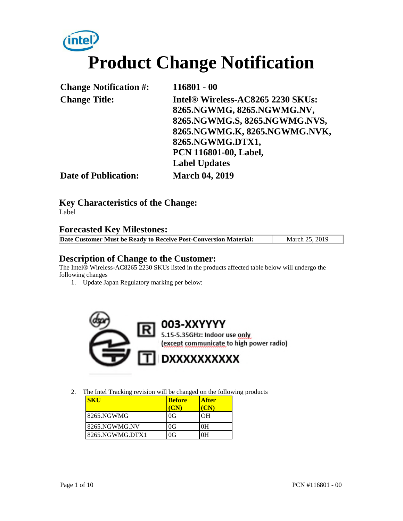# inte **Product Change Notification**

| <b>Change Notification #:</b> | $116801 - 00$                     |
|-------------------------------|-----------------------------------|
| <b>Change Title:</b>          | Intel® Wireless-AC8265 2230 SKUs: |
|                               | 8265.NGWMG, 8265.NGWMG.NV,        |
|                               | 8265.NGWMG.S, 8265.NGWMG.NVS,     |
|                               | 8265.NGWMG.K, 8265.NGWMG.NVK,     |
|                               | 8265.NGWMG.DTX1,                  |
|                               | PCN 116801-00, Label,             |
|                               | <b>Label Updates</b>              |
| <b>Date of Publication:</b>   | <b>March 04, 2019</b>             |

**Key Characteristics of the Change:**

Label

### **Forecasted Key Milestones:**

| Date Customer Must be Ready to Receive Post-Conversion Material:<br>March 25, 2019 |
|------------------------------------------------------------------------------------|
|------------------------------------------------------------------------------------|

#### **Description of Change to the Customer:**

The Intel® Wireless-AC8265 2230 SKUs listed in the products affected table below will undergo the following changes

1. Update Japan Regulatory marking per below:



2. The Intel Tracking revision will be changed on the following products

| <b>SKU</b>      | <b>Before</b> | <b>After</b>   |
|-----------------|---------------|----------------|
| 8265.NGWMG      | 0G            | O <sub>H</sub> |
| 18265.NGWMG.NV  | 0G            | 0H             |
| 8265.NGWMG.DTX1 | 0G            | ìН             |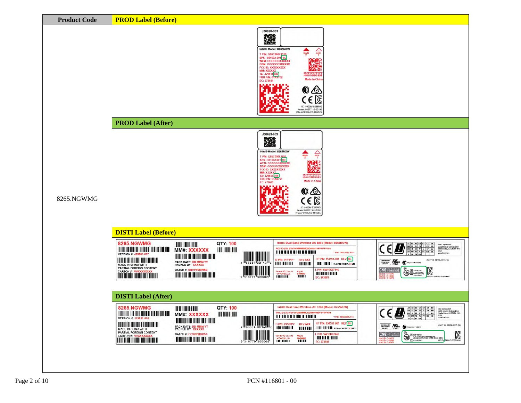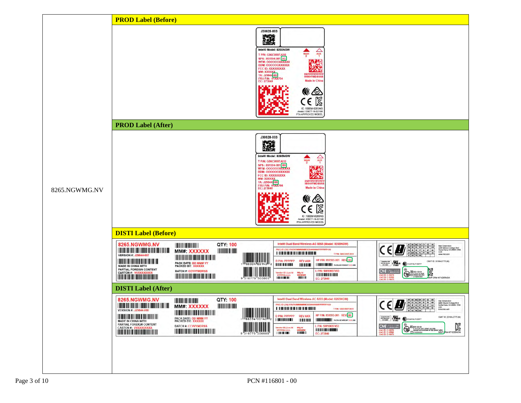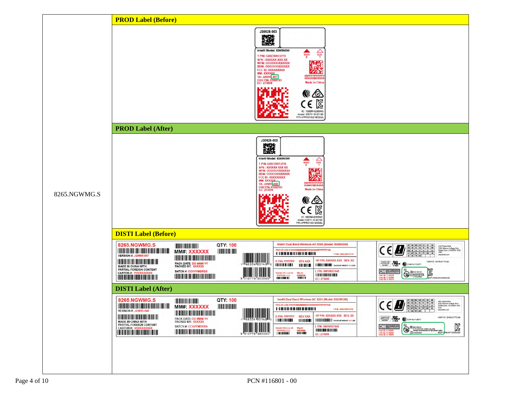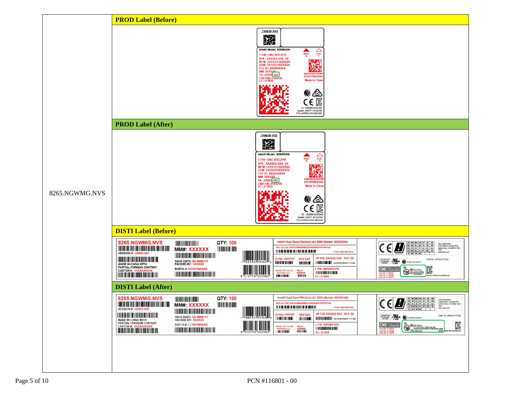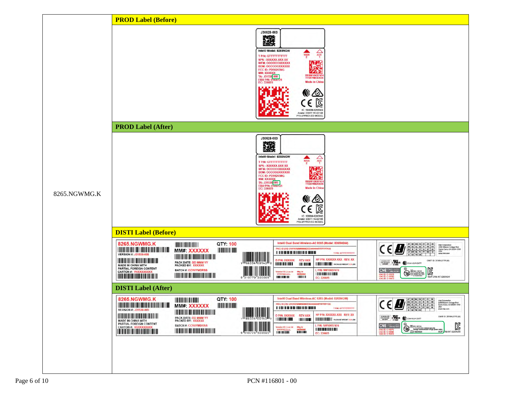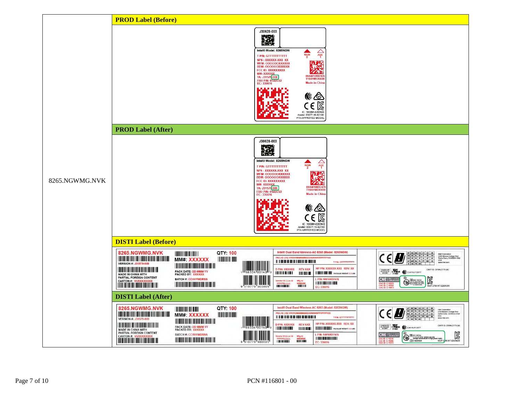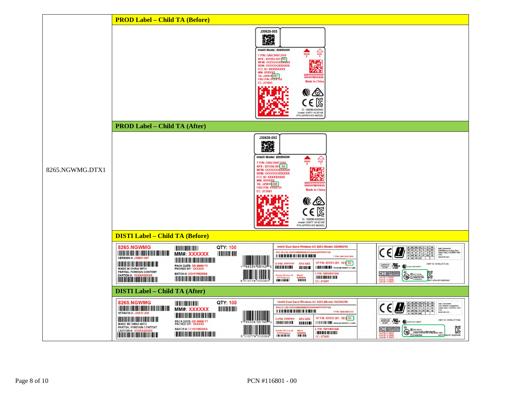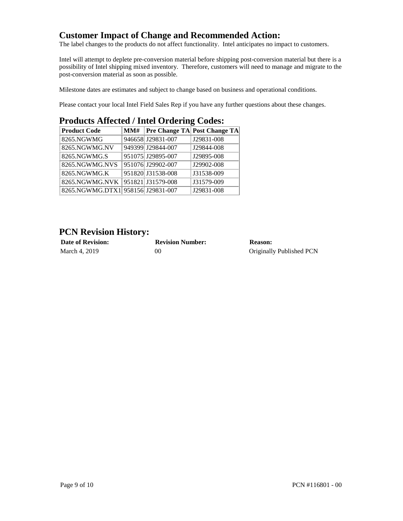# **Customer Impact of Change and Recommended Action:**

The label changes to the products do not affect functionality. Intel anticipates no impact to customers.

Intel will attempt to deplete pre-conversion material before shipping post-conversion material but there is a possibility of Intel shipping mixed inventory. Therefore, customers will need to manage and migrate to the post-conversion material as soon as possible.

Milestone dates are estimates and subject to change based on business and operational conditions.

Please contact your local Intel Field Sales Rep if you have any further questions about these changes.

| Trouted infected, filter or acting could. |  |                   |                                    |  |  |
|-------------------------------------------|--|-------------------|------------------------------------|--|--|
| <b>Product Code</b>                       |  |                   | MM#   Pre Change TA Post Change TA |  |  |
| 8265.NGWMG                                |  | 946658 J29831-007 | J29831-008                         |  |  |
| 8265.NGWMG.NV                             |  | 949399 J29844-007 | J29844-008                         |  |  |
| 8265.NGWMG.S                              |  | 951075 J29895-007 | J29895-008                         |  |  |
| 8265.NGWMG.NVS                            |  | 951076 J29902-007 | J29902-008                         |  |  |
| 8265.NGWMG.K                              |  | 951820 J31538-008 | J31538-009                         |  |  |
| 8265.NGWMG.NVK 951821 J31579-008          |  |                   | J31579-009                         |  |  |
| 8265.NGWMG.DTX1 958156 J29831-007         |  |                   | J29831-008                         |  |  |

## **Products Affected / Intel Ordering Codes:**

### **PCN Revision History:**

| <b>Date of Revision:</b> | <b>Revision Number:</b> | <b>Reason:</b>           |
|--------------------------|-------------------------|--------------------------|
| March 4, 2019            | 00                      | Originally Published PCN |